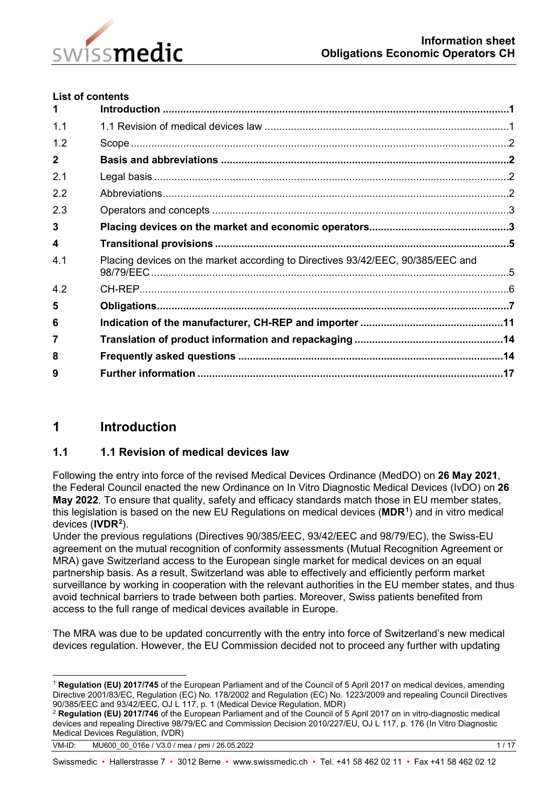

### **List of contents**

| 1            |                                                                                 |  |
|--------------|---------------------------------------------------------------------------------|--|
| 1.1          |                                                                                 |  |
| 1.2          |                                                                                 |  |
| $\mathbf{2}$ |                                                                                 |  |
| 2.1          |                                                                                 |  |
| 2.2          |                                                                                 |  |
| 2.3          |                                                                                 |  |
| 3            |                                                                                 |  |
| 4            |                                                                                 |  |
| 4.1          | Placing devices on the market according to Directives 93/42/EEC, 90/385/EEC and |  |
| 4.2          |                                                                                 |  |
| 5            |                                                                                 |  |
| 6            |                                                                                 |  |
| 7            |                                                                                 |  |
| 8            |                                                                                 |  |
| 9            |                                                                                 |  |
|              |                                                                                 |  |

# <span id="page-0-0"></span>**1 Introduction**

### <span id="page-0-1"></span>**1.1 1.1 Revision of medical devices law**

Following the entry into force of the revised Medical Devices Ordinance (MedDO) on **26 May 2021**, the Federal Council enacted the new Ordinance on In Vitro Diagnostic Medical Devices (IvDO) on **26 May 2022**. To ensure that quality, safety and efficacy standards match those in EU member states, this legislation is based on the new EU Regulations on medical devices (**MDR[1](#page-0-2)** ) and in vitro medical devices (**IVD[R2](#page-0-3)** ).

Under the previous regulations (Directives 90/385/EEC, 93/42/EEC and 98/79/EC), the Swiss-EU agreement on the mutual recognition of conformity assessments (Mutual Recognition Agreement or MRA) gave Switzerland access to the European single market for medical devices on an equal partnership basis. As a result, Switzerland was able to effectively and efficiently perform market surveillance by working in cooperation with the relevant authorities in the EU member states, and thus avoid technical barriers to trade between both parties. Moreover, Swiss patients benefited from access to the full range of medical devices available in Europe.

The MRA was due to be updated concurrently with the entry into force of Switzerland's new medical devices regulation. However, the EU Commission decided not to proceed any further with updating

Swissmedic • Hallerstrasse 7 • 3012 Berne • www.swissmedic.ch • Tel. +41 58 462 02 11 • Fax +41 58 462 02 12

<span id="page-0-2"></span> <sup>1</sup> **Regulation (EU) 2017/745** of the European Parliament and of the Council of 5 April 2017 on medical devices, amending Directive 2001/83/EC, Regulation (EC) No. 178/2002 and Regulation (EC) No. 1223/2009 and repealing Council Directives 90/385/EEC and 93/42/EEC, OJ L 117, p. 1 (Medical Device Regulation, MDR)

<span id="page-0-3"></span><sup>2</sup> **Regulation (EU) 2017/746** of the European Parliament and of the Council of 5 April 2017 on in vitro-diagnostic medical devices and repealing Directive 98/79/EC and Commission Decision 2010/227/EU, OJ L 117, p. 176 (In Vitro Diagnostic Medical Devices Regulation, IVDR)

VM-ID: MU600 00 016e / V3.0 / mea / pmi / 26.05.2022 1 / 17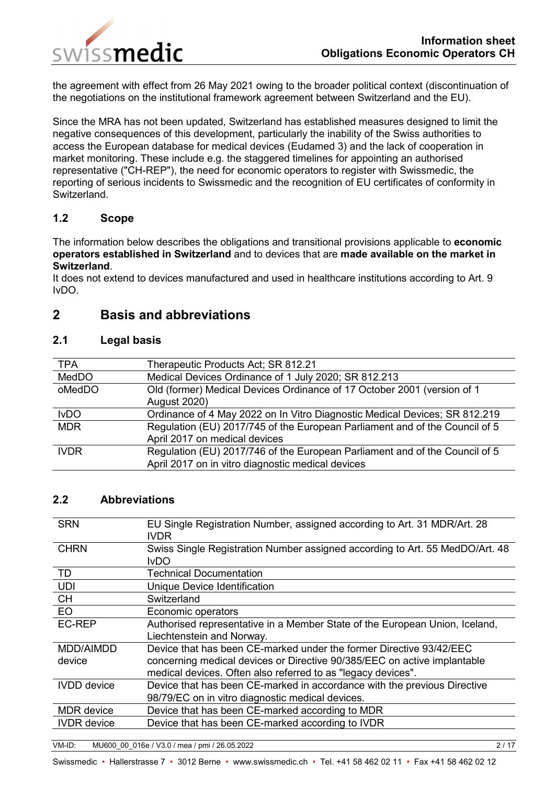

the agreement with effect from 26 May 2021 owing to the broader political context (discontinuation of the negotiations on the institutional framework agreement between Switzerland and the EU).

Since the MRA has not been updated, Switzerland has established measures designed to limit the negative consequences of this development, particularly the inability of the Swiss authorities to access the European database for medical devices (Eudamed 3) and the lack of cooperation in market monitoring. These include e.g. the staggered timelines for appointing an authorised representative ("CH-REP"), the need for economic operators to register with Swissmedic, the reporting of serious incidents to Swissmedic and the recognition of EU certificates of conformity in Switzerland.

### <span id="page-1-0"></span>**1.2 Scope**

The information below describes the obligations and transitional provisions applicable to **economic operators established in Switzerland** and to devices that are **made available on the market in Switzerland**.

It does not extend to devices manufactured and used in healthcare institutions according to Art. 9 IvDO.

# <span id="page-1-1"></span>**2 Basis and abbreviations**

### <span id="page-1-2"></span>**2.1 Legal basis**

| <b>TPA</b>  | Therapeutic Products Act; SR 812.21                                         |
|-------------|-----------------------------------------------------------------------------|
| MedDO       | Medical Devices Ordinance of 1 July 2020; SR 812.213                        |
| oMedDO      | Old (former) Medical Devices Ordinance of 17 October 2001 (version of 1     |
|             | <b>August 2020)</b>                                                         |
| <b>IvDO</b> | Ordinance of 4 May 2022 on In Vitro Diagnostic Medical Devices; SR 812.219  |
| <b>MDR</b>  | Regulation (EU) 2017/745 of the European Parliament and of the Council of 5 |
|             | April 2017 on medical devices                                               |
| <b>IVDR</b> | Regulation (EU) 2017/746 of the European Parliament and of the Council of 5 |
|             | April 2017 on in vitro diagnostic medical devices                           |

### <span id="page-1-3"></span>**2.2 Abbreviations**

| <b>SRN</b>         | EU Single Registration Number, assigned according to Art. 31 MDR/Art. 28<br><b>IVDR</b> |
|--------------------|-----------------------------------------------------------------------------------------|
| <b>CHRN</b>        | Swiss Single Registration Number assigned according to Art. 55 MedDO/Art. 48            |
|                    | IvDO.                                                                                   |
| <b>TD</b>          | Technical Documentation                                                                 |
| <b>UDI</b>         | Unique Device Identification                                                            |
| <b>CH</b>          | Switzerland                                                                             |
| <b>EO</b>          | Economic operators                                                                      |
| <b>EC-REP</b>      | Authorised representative in a Member State of the European Union, Iceland,             |
|                    | Liechtenstein and Norway.                                                               |
| MDD/AIMDD          | Device that has been CE-marked under the former Directive 93/42/EEC                     |
| device             | concerning medical devices or Directive 90/385/EEC on active implantable                |
|                    | medical devices. Often also referred to as "legacy devices".                            |
| <b>IVDD</b> device | Device that has been CE-marked in accordance with the previous Directive                |
|                    | 98/79/EC on in vitro diagnostic medical devices.                                        |
| <b>MDR</b> device  | Device that has been CE-marked according to MDR                                         |
| <b>IVDR</b> device | Device that has been CE-marked according to IVDR                                        |
|                    |                                                                                         |

VM-ID: MU600\_00\_016e / V3.0 / mea / pmi / 26.05.2022 2 / 17

Swissmedic • Hallerstrasse 7 • 3012 Berne • www.swissmedic.ch • Tel. +41 58 462 02 11 • Fax +41 58 462 02 12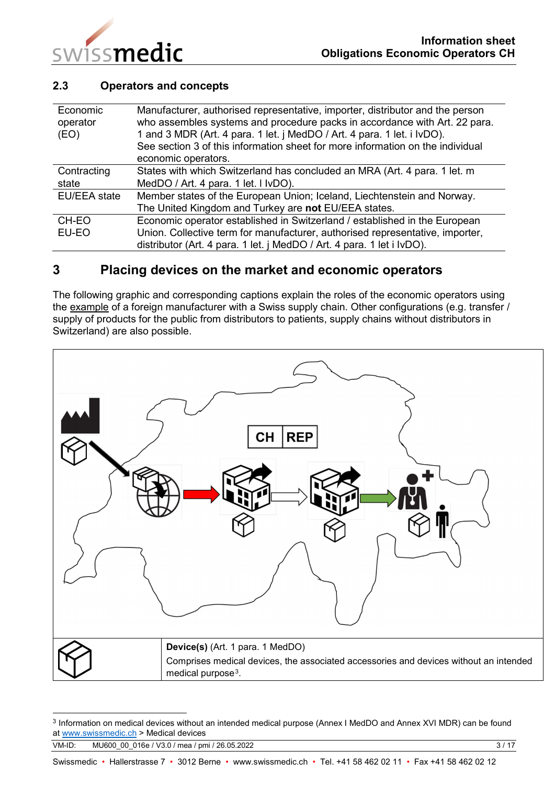

### <span id="page-2-0"></span>**2.3 Operators and concepts**

| Economic<br>operator<br>(EO) | Manufacturer, authorised representative, importer, distributor and the person<br>who assembles systems and procedure packs in accordance with Art. 22 para.<br>1 and 3 MDR (Art. 4 para. 1 let. j MedDO / Art. 4 para. 1 let. i IvDO).<br>See section 3 of this information sheet for more information on the individual<br>economic operators. |
|------------------------------|-------------------------------------------------------------------------------------------------------------------------------------------------------------------------------------------------------------------------------------------------------------------------------------------------------------------------------------------------|
| Contracting                  | States with which Switzerland has concluded an MRA (Art. 4 para. 1 let. m                                                                                                                                                                                                                                                                       |
| state                        | MedDO / Art. 4 para. 1 let. I IvDO).                                                                                                                                                                                                                                                                                                            |
| <b>EU/EEA</b> state          | Member states of the European Union; Iceland, Liechtenstein and Norway.                                                                                                                                                                                                                                                                         |
|                              | The United Kingdom and Turkey are not EU/EEA states.                                                                                                                                                                                                                                                                                            |
| CH-EO                        | Economic operator established in Switzerland / established in the European                                                                                                                                                                                                                                                                      |
| EU-EO                        | Union. Collective term for manufacturer, authorised representative, importer,                                                                                                                                                                                                                                                                   |
|                              | distributor (Art. 4 para. 1 let. j MedDO / Art. 4 para. 1 let i IvDO).                                                                                                                                                                                                                                                                          |

# <span id="page-2-1"></span>**3 Placing devices on the market and economic operators**

The following graphic and corresponding captions explain the roles of the economic operators using the example of a foreign manufacturer with a Swiss supply chain. Other configurations (e.g. transfer / supply of products for the public from distributors to patients, supply chains without distributors in Switzerland) are also possible.



<span id="page-2-2"></span><sup>3</sup> Information on medical devices without an intended medical purpose (Annex I MedDO and Annex XVI MDR) can be found a[t www.swissmedic.ch](http://www.swissmedic.ch/) > Medical devices

VM-ID: MU600 00 016e / V3.0 / mea / pmi / 26.05.2022 3 / 17

-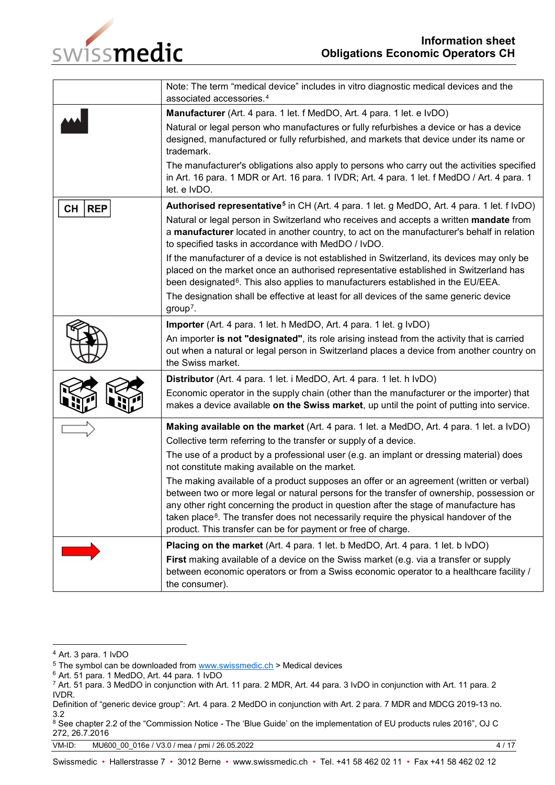

|                  | Note: The term "medical device" includes in vitro diagnostic medical devices and the<br>associated accessories. <sup>4</sup>                                                                                                                                                                                                                                                                                                                       |  |  |  |
|------------------|----------------------------------------------------------------------------------------------------------------------------------------------------------------------------------------------------------------------------------------------------------------------------------------------------------------------------------------------------------------------------------------------------------------------------------------------------|--|--|--|
|                  | Manufacturer (Art. 4 para. 1 let. f MedDO, Art. 4 para. 1 let. e IvDO)                                                                                                                                                                                                                                                                                                                                                                             |  |  |  |
|                  | Natural or legal person who manufactures or fully refurbishes a device or has a device<br>designed, manufactured or fully refurbished, and markets that device under its name or<br>trademark.                                                                                                                                                                                                                                                     |  |  |  |
|                  | The manufacturer's obligations also apply to persons who carry out the activities specified<br>in Art. 16 para. 1 MDR or Art. 16 para. 1 IVDR; Art. 4 para. 1 let. f MedDO / Art. 4 para. 1<br>let. e IvDO.                                                                                                                                                                                                                                        |  |  |  |
| <b>REP</b><br>CН | Authorised representative <sup>5</sup> in CH (Art. 4 para. 1 let. g MedDO, Art. 4 para. 1 let. f IvDO)                                                                                                                                                                                                                                                                                                                                             |  |  |  |
|                  | Natural or legal person in Switzerland who receives and accepts a written mandate from<br>a manufacturer located in another country, to act on the manufacturer's behalf in relation<br>to specified tasks in accordance with MedDO / IvDO.                                                                                                                                                                                                        |  |  |  |
|                  | If the manufacturer of a device is not established in Switzerland, its devices may only be<br>placed on the market once an authorised representative established in Switzerland has<br>been designated <sup>6</sup> . This also applies to manufacturers established in the EU/EEA.<br>The designation shall be effective at least for all devices of the same generic device<br>$group7$ .                                                        |  |  |  |
|                  | Importer (Art. 4 para. 1 let. h MedDO, Art. 4 para. 1 let. g IvDO)                                                                                                                                                                                                                                                                                                                                                                                 |  |  |  |
|                  | An importer is not "designated", its role arising instead from the activity that is carried<br>out when a natural or legal person in Switzerland places a device from another country on<br>the Swiss market.                                                                                                                                                                                                                                      |  |  |  |
|                  | Distributor (Art. 4 para. 1 let. i MedDO, Art. 4 para. 1 let. h IvDO)                                                                                                                                                                                                                                                                                                                                                                              |  |  |  |
|                  | Economic operator in the supply chain (other than the manufacturer or the importer) that<br>makes a device available on the Swiss market, up until the point of putting into service.                                                                                                                                                                                                                                                              |  |  |  |
|                  | Making available on the market (Art. 4 para. 1 let. a MedDO, Art. 4 para. 1 let. a IvDO)                                                                                                                                                                                                                                                                                                                                                           |  |  |  |
|                  | Collective term referring to the transfer or supply of a device.                                                                                                                                                                                                                                                                                                                                                                                   |  |  |  |
|                  | The use of a product by a professional user (e.g. an implant or dressing material) does<br>not constitute making available on the market.                                                                                                                                                                                                                                                                                                          |  |  |  |
|                  | The making available of a product supposes an offer or an agreement (written or verbal)<br>between two or more legal or natural persons for the transfer of ownership, possession or<br>any other right concerning the product in question after the stage of manufacture has<br>taken place <sup>8</sup> . The transfer does not necessarily require the physical handover of the<br>product. This transfer can be for payment or free of charge. |  |  |  |
|                  | Placing on the market (Art. 4 para. 1 let. b MedDO, Art. 4 para. 1 let. b IvDO)                                                                                                                                                                                                                                                                                                                                                                    |  |  |  |
|                  | First making available of a device on the Swiss market (e.g. via a transfer or supply<br>between economic operators or from a Swiss economic operator to a healthcare facility /<br>the consumer).                                                                                                                                                                                                                                                 |  |  |  |

<sup>-</sup><sup>4</sup> Art. 3 para. 1 IvDO

<span id="page-3-1"></span><span id="page-3-0"></span> $5$  The symbol can be downloaded from  $www.swissmedic.ch$  > Medical devices

<span id="page-3-2"></span><sup>6</sup> Art. 51 para. 1 MedDO, Art. 44 para. 1 IvDO

<span id="page-3-3"></span><sup>7</sup> Art. 51 para. 3 MedDO in conjunction with Art. 11 para. 2 MDR, Art. 44 para. 3 IvDO in conjunction with Art. 11 para. 2 IVDR.

Definition of "generic device group": Art. 4 para. 2 MedDO in conjunction with Art. 2 para. 7 MDR and MDCG 2019-13 no. 3.2

<span id="page-3-4"></span><sup>&</sup>lt;sup>8</sup> See chapter 2.2 of the "Commission Notice - The 'Blue Guide' on the implementation of EU products rules 2016", OJ C 272, 26.7.2016

VM-ID: MU600\_00\_016e / V3.0 / mea / pmi / 26.05.2022 4 / 17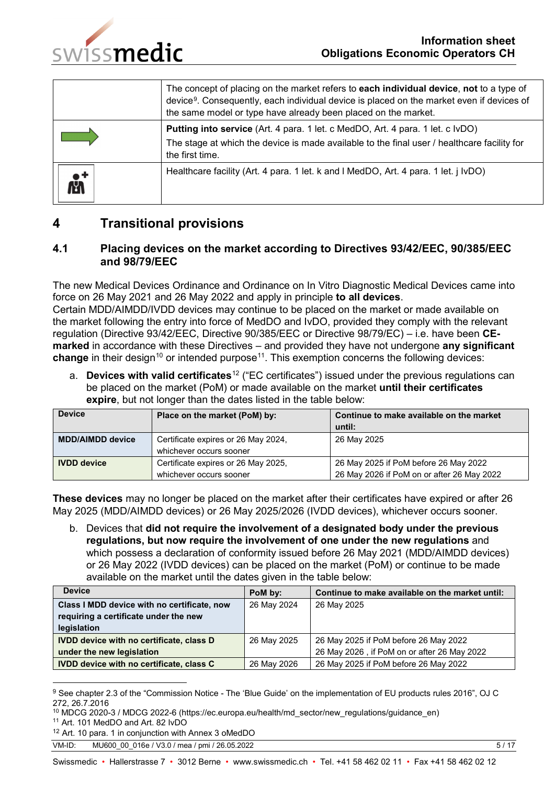

|   | The concept of placing on the market refers to <b>each individual device, not</b> to a type of<br>device <sup>9</sup> . Consequently, each individual device is placed on the market even if devices of<br>the same model or type have already been placed on the market. |
|---|---------------------------------------------------------------------------------------------------------------------------------------------------------------------------------------------------------------------------------------------------------------------------|
|   | Putting into service (Art. 4 para. 1 let. c MedDO, Art. 4 para. 1 let. c IvDO)<br>The stage at which the device is made available to the final user / healthcare facility for<br>the first time.                                                                          |
| 凼 | Healthcare facility (Art. 4 para. 1 let. k and I MedDO, Art. 4 para. 1 let. <i>i</i> IvDO)                                                                                                                                                                                |

# <span id="page-4-0"></span>**4 Transitional provisions**

### <span id="page-4-1"></span>**4.1 Placing devices on the market according to Directives 93/42/EEC, 90/385/EEC and 98/79/EEC**

The new Medical Devices Ordinance and Ordinance on In Vitro Diagnostic Medical Devices came into force on 26 May 2021 and 26 May 2022 and apply in principle **to all devices**. Certain MDD/AIMDD/IVDD devices may continue to be placed on the market or made available on

the market following the entry into force of MedDO and IvDO, provided they comply with the relevant regulation (Directive 93/42/EEC, Directive 90/385/EEC or Directive 98/79/EC) – i.e. have been **CEmarked** in accordance with these Directives – and provided they have not undergone **any significant change** in their design<sup>[10](#page-4-3)</sup> or intended purpose<sup>[11](#page-4-4)</sup>. This exemption concerns the following devices:

a. **Devices with valid certificates**[12](#page-4-5) ("EC certificates") issued under the previous regulations can be placed on the market (PoM) or made available on the market **until their certificates expire**, but not longer than the dates listed in the table below:

| <b>Device</b>           | Place on the market (PoM) by:       | Continue to make available on the market   |  |
|-------------------------|-------------------------------------|--------------------------------------------|--|
|                         |                                     | until:                                     |  |
| <b>MDD/AIMDD device</b> | Certificate expires or 26 May 2024, | 26 May 2025                                |  |
| whichever occurs sooner |                                     |                                            |  |
| <b>IVDD</b> device      | Certificate expires or 26 May 2025, | 26 May 2025 if PoM before 26 May 2022      |  |
| whichever occurs sooner |                                     | 26 May 2026 if PoM on or after 26 May 2022 |  |

**These devices** may no longer be placed on the market after their certificates have expired or after 26 May 2025 (MDD/AIMDD devices) or 26 May 2025/2026 (IVDD devices), whichever occurs sooner.

b. Devices that **did not require the involvement of a designated body under the previous regulations, but now require the involvement of one under the new regulations** and which possess a declaration of conformity issued before 26 May 2021 (MDD/AIMDD devices) or 26 May 2022 (IVDD devices) can be placed on the market (PoM) or continue to be made available on the market until the dates given in the table below:

| <b>Device</b>                                   | PoM by:     | Continue to make available on the market until: |
|-------------------------------------------------|-------------|-------------------------------------------------|
| Class I MDD device with no certificate, now     | 26 May 2024 | 26 May 2025                                     |
| requiring a certificate under the new           |             |                                                 |
| legislation                                     |             |                                                 |
| <b>IVDD device with no certificate, class D</b> | 26 May 2025 | 26 May 2025 if PoM before 26 May 2022           |
| under the new legislation                       |             | 26 May 2026, if PoM on or after 26 May 2022     |
| <b>IVDD device with no certificate, class C</b> | 26 May 2026 | 26 May 2025 if PoM before 26 May 2022           |

<span id="page-4-2"></span><sup>9</sup> See chapter 2.3 of the "Commission Notice - The 'Blue Guide' on the implementation of EU products rules 2016", OJ C 272, 26.7.2016

-

<span id="page-4-3"></span><sup>10</sup> MDCG 2020-3 / MDCG 2022-6 (https://ec.europa.eu/health/md\_sector/new\_regulations/guidance\_en) 11 Art. 101 MedDO and Art. 82 IvDO

<span id="page-4-4"></span>

<span id="page-4-5"></span><sup>12</sup> Art. 10 para. 1 in conjunction with Annex 3 oMedDO

VM-ID: MU600 00 016e / V3.0 / mea / pmi / 26.05.2022 5 / 17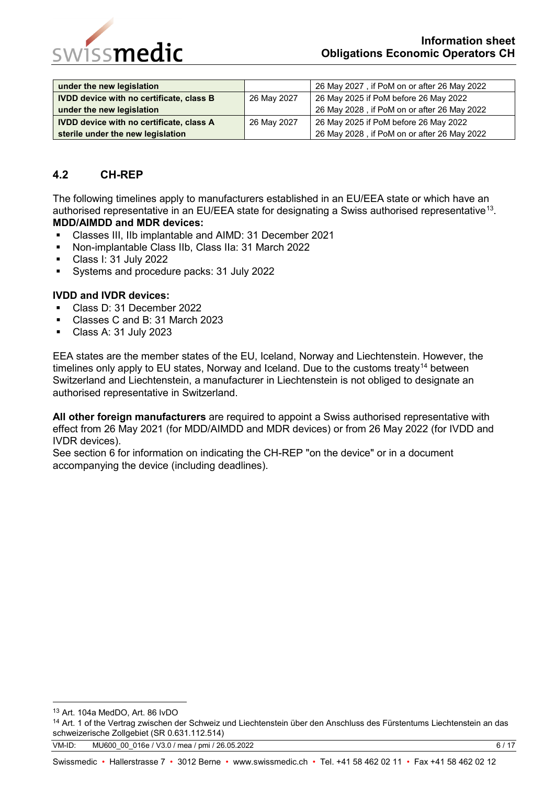

| under the new legislation                       |             | 26 May 2027, if PoM on or after 26 May 2022 |
|-------------------------------------------------|-------------|---------------------------------------------|
| <b>IVDD device with no certificate, class B</b> | 26 May 2027 | 26 May 2025 if PoM before 26 May 2022       |
| under the new legislation                       |             | 26 May 2028, if PoM on or after 26 May 2022 |
| <b>IVDD device with no certificate, class A</b> | 26 May 2027 | 26 May 2025 if PoM before 26 May 2022       |
| sterile under the new legislation               |             | 26 May 2028, if PoM on or after 26 May 2022 |

### <span id="page-5-0"></span>**4.2 CH-REP**

The following timelines apply to manufacturers established in an EU/EEA state or which have an authorised representative in an EU/EEA state for designating a Swiss authorised representative<sup>13</sup>. **MDD/AIMDD and MDR devices:**

- Classes III, IIb implantable and AIMD: 31 December 2021
- Non-implantable Class IIb, Class IIa: 31 March 2022
- Class I: 31 July 2022
- Systems and procedure packs: 31 July 2022

#### **IVDD and IVDR devices:**

- Class D: 31 December 2022
- Classes C and B: 31 March 2023
- Class A: 31 July 2023

EEA states are the member states of the EU, Iceland, Norway and Liechtenstein. However, the timelines only apply to EU states, Norway and Iceland. Due to the customs treaty<sup>[14](#page-5-2)</sup> between Switzerland and Liechtenstein, a manufacturer in Liechtenstein is not obliged to designate an authorised representative in Switzerland.

**All other foreign manufacturers** are required to appoint a Swiss authorised representative with effect from 26 May 2021 (for MDD/AIMDD and MDR devices) or from 26 May 2022 (for IVDD and IVDR devices).

See section 6 for information on indicating the CH-REP "on the device" or in a document accompanying the device (including deadlines).

<span id="page-5-1"></span> <sup>13</sup> Art. 104a MedDO, Art. 86 IvDO

<span id="page-5-2"></span><sup>&</sup>lt;sup>14</sup> Art. 1 of the Vertrag zwischen der Schweiz und Liechtenstein über den Anschluss des Fürstentums Liechtenstein an das schweizerische Zollgebiet (SR 0.631.112.514)

VM-ID: MU600\_00\_016e / V3.0 / mea / pmi / 26.05.2022 6 / 17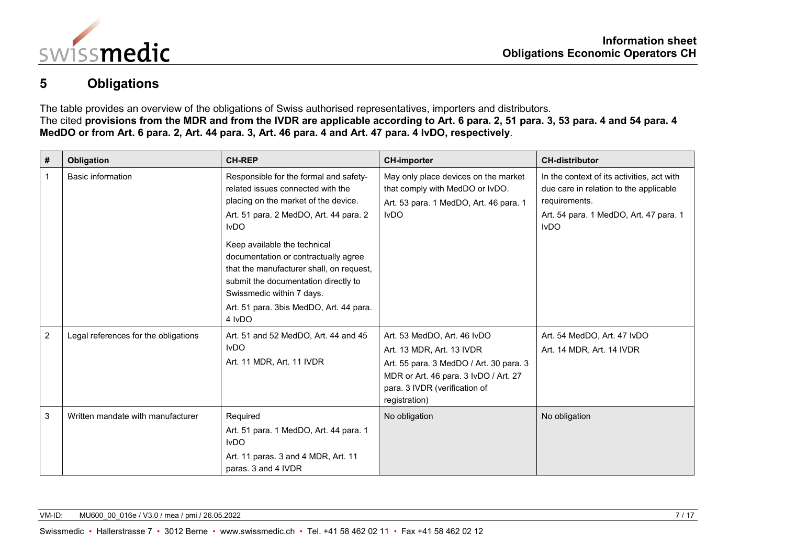

# **5 Obligations**

The table provides an overview of the obligations of Swiss authorised representatives, importers and distributors. The cited **provisions from the MDR and from the IVDR are applicable according to [Art. 6 para. 2,](https://www.fedlex.admin.ch/eli/cc/2020/552/en#art_6) [51 para. 3,](https://www.fedlex.admin.ch/eli/cc/2020/552/en#art_51) [53 para. 4](https://www.fedlex.admin.ch/eli/cc/2020/552/en#art_53) and [54 para. 4](https://www.fedlex.admin.ch/eli/cc/2020/552/en#art_54) MedDO or from Art. 6 para. 2, Art. 44 para. 3, Art. 46 para. 4 and Art. 47 para. 4 IvDO, respectively**.

<span id="page-6-0"></span>

| #              | Obligation                           | <b>CH-REP</b>                                                                                                                                                                                                                                                                                                                                                                                                              | <b>CH-importer</b>                                                                                                                                                                             | <b>CH-distributor</b>                                                                                                                                          |
|----------------|--------------------------------------|----------------------------------------------------------------------------------------------------------------------------------------------------------------------------------------------------------------------------------------------------------------------------------------------------------------------------------------------------------------------------------------------------------------------------|------------------------------------------------------------------------------------------------------------------------------------------------------------------------------------------------|----------------------------------------------------------------------------------------------------------------------------------------------------------------|
| $\mathbf{1}$   | <b>Basic information</b>             | Responsible for the formal and safety-<br>related issues connected with the<br>placing on the market of the device.<br>Art. 51 para. 2 MedDO, Art. 44 para. 2<br><b>IvDO</b><br>Keep available the technical<br>documentation or contractually agree<br>that the manufacturer shall, on request,<br>submit the documentation directly to<br>Swissmedic within 7 days.<br>Art. 51 para. 3bis MedDO, Art. 44 para.<br>4 IvDO | May only place devices on the market<br>that comply with MedDO or IvDO.<br>Art. 53 para. 1 MedDO, Art. 46 para. 1<br><b>IvDO</b>                                                               | In the context of its activities, act with<br>due care in relation to the applicable<br>requirements.<br>Art. 54 para. 1 MedDO, Art. 47 para. 1<br><b>IvDO</b> |
| $\overline{2}$ | Legal references for the obligations | Art. 51 and 52 MedDO, Art. 44 and 45<br><b>IvDO</b><br>Art. 11 MDR, Art. 11 IVDR                                                                                                                                                                                                                                                                                                                                           | Art. 53 MedDO, Art. 46 IvDO<br>Art. 13 MDR, Art. 13 IVDR<br>Art. 55 para. 3 MedDO / Art. 30 para. 3<br>MDR or Art. 46 para. 3 IvDO / Art. 27<br>para. 3 IVDR (verification of<br>registration) | Art. 54 MedDO, Art. 47 IvDO<br>Art. 14 MDR, Art. 14 IVDR                                                                                                       |
| 3              | Written mandate with manufacturer    | Required<br>Art. 51 para. 1 MedDO, Art. 44 para. 1<br><b>IvDO</b><br>Art. 11 paras. 3 and 4 MDR, Art. 11<br>paras. 3 and 4 IVDR                                                                                                                                                                                                                                                                                            | No obligation                                                                                                                                                                                  | No obligation                                                                                                                                                  |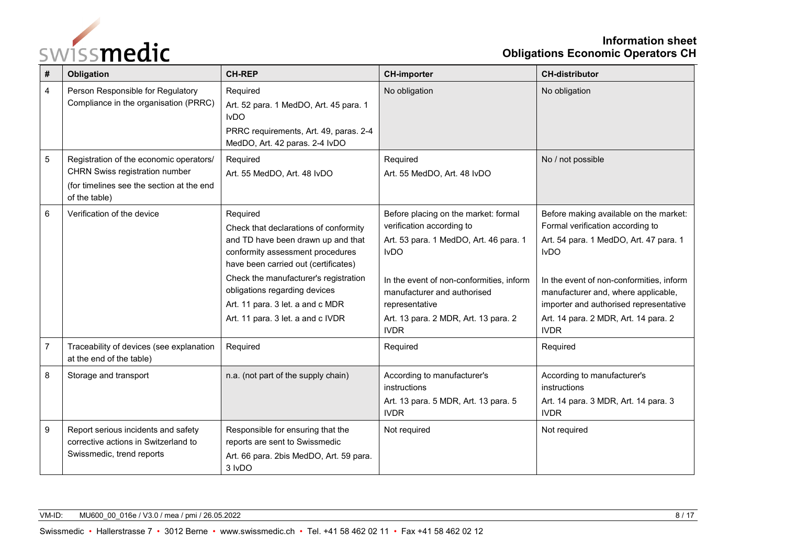

## **Information sheet Obligations Economic Operators CH**

| #              | Obligation                                                                                                                                     | <b>CH-REP</b>                                                                                                                                                                                                                                                                                                          | <b>CH-importer</b>                                                                                                                                                                                                                                                             | <b>CH-distributor</b>                                                                                                                                                                                                                                                                                                   |
|----------------|------------------------------------------------------------------------------------------------------------------------------------------------|------------------------------------------------------------------------------------------------------------------------------------------------------------------------------------------------------------------------------------------------------------------------------------------------------------------------|--------------------------------------------------------------------------------------------------------------------------------------------------------------------------------------------------------------------------------------------------------------------------------|-------------------------------------------------------------------------------------------------------------------------------------------------------------------------------------------------------------------------------------------------------------------------------------------------------------------------|
| $\overline{4}$ | Person Responsible for Regulatory<br>Compliance in the organisation (PRRC)                                                                     | Required<br>Art. 52 para. 1 MedDO, Art. 45 para. 1<br><b>IvDO</b><br>PRRC requirements, Art. 49, paras. 2-4<br>MedDO, Art. 42 paras. 2-4 IvDO                                                                                                                                                                          | No obligation                                                                                                                                                                                                                                                                  | No obligation                                                                                                                                                                                                                                                                                                           |
| $\sqrt{5}$     | Registration of the economic operators/<br><b>CHRN Swiss registration number</b><br>(for timelines see the section at the end<br>of the table) | Required<br>Art. 55 MedDO, Art. 48 IvDO                                                                                                                                                                                                                                                                                | Required<br>Art. 55 MedDO, Art. 48 IvDO                                                                                                                                                                                                                                        | No / not possible                                                                                                                                                                                                                                                                                                       |
| 6              | Verification of the device                                                                                                                     | Required<br>Check that declarations of conformity<br>and TD have been drawn up and that<br>conformity assessment procedures<br>have been carried out (certificates)<br>Check the manufacturer's registration<br>obligations regarding devices<br>Art. 11 para. 3 let. a and c MDR<br>Art. 11 para. 3 let. a and c IVDR | Before placing on the market: formal<br>verification according to<br>Art. 53 para. 1 MedDO, Art. 46 para. 1<br><b>IvDO</b><br>In the event of non-conformities, inform<br>manufacturer and authorised<br>representative<br>Art. 13 para. 2 MDR, Art. 13 para. 2<br><b>IVDR</b> | Before making available on the market:<br>Formal verification according to<br>Art. 54 para. 1 MedDO, Art. 47 para. 1<br><b>IvDO</b><br>In the event of non-conformities, inform<br>manufacturer and, where applicable,<br>importer and authorised representative<br>Art. 14 para. 2 MDR, Art. 14 para. 2<br><b>IVDR</b> |
| $\overline{7}$ | Traceability of devices (see explanation<br>at the end of the table)                                                                           | Required                                                                                                                                                                                                                                                                                                               | Required                                                                                                                                                                                                                                                                       | Required                                                                                                                                                                                                                                                                                                                |
| 8              | Storage and transport                                                                                                                          | n.a. (not part of the supply chain)                                                                                                                                                                                                                                                                                    | According to manufacturer's<br>instructions<br>Art. 13 para. 5 MDR, Art. 13 para. 5<br><b>IVDR</b>                                                                                                                                                                             | According to manufacturer's<br>instructions<br>Art. 14 para. 3 MDR, Art. 14 para. 3<br><b>IVDR</b>                                                                                                                                                                                                                      |
| 9              | Report serious incidents and safety<br>corrective actions in Switzerland to<br>Swissmedic, trend reports                                       | Responsible for ensuring that the<br>reports are sent to Swissmedic<br>Art. 66 para. 2bis MedDO, Art. 59 para.<br>3 IvDO                                                                                                                                                                                               | Not required                                                                                                                                                                                                                                                                   | Not required                                                                                                                                                                                                                                                                                                            |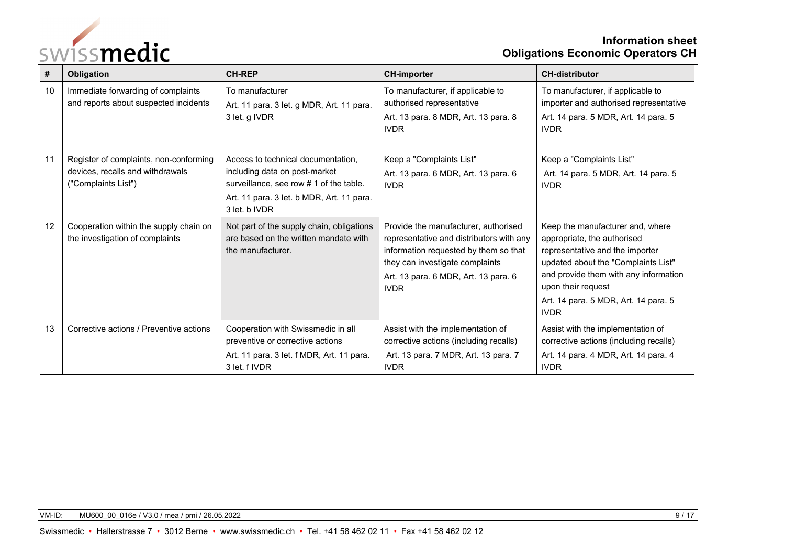

## **Information sheet Obligations Economic Operators CH**

| #  | Obligation                                                                                        | <b>CH-REP</b>                                                                                                                                                                | <b>CH-importer</b>                                                                                                                                                                                                  | <b>CH-distributor</b>                                                                                                                                                                                                                                           |
|----|---------------------------------------------------------------------------------------------------|------------------------------------------------------------------------------------------------------------------------------------------------------------------------------|---------------------------------------------------------------------------------------------------------------------------------------------------------------------------------------------------------------------|-----------------------------------------------------------------------------------------------------------------------------------------------------------------------------------------------------------------------------------------------------------------|
| 10 | Immediate forwarding of complaints<br>and reports about suspected incidents                       | To manufacturer<br>Art. 11 para. 3 let. g MDR, Art. 11 para.<br>3 let. g IVDR                                                                                                | To manufacturer, if applicable to<br>authorised representative<br>Art. 13 para. 8 MDR, Art. 13 para. 8<br><b>IVDR</b>                                                                                               | To manufacturer, if applicable to<br>importer and authorised representative<br>Art. 14 para. 5 MDR, Art. 14 para. 5<br><b>IVDR</b>                                                                                                                              |
| 11 | Register of complaints, non-conforming<br>devices, recalls and withdrawals<br>("Complaints List") | Access to technical documentation,<br>including data on post-market<br>surveillance, see row # 1 of the table.<br>Art. 11 para. 3 let. b MDR, Art. 11 para.<br>3 let. b IVDR | Keep a "Complaints List"<br>Art. 13 para. 6 MDR, Art. 13 para. 6<br><b>IVDR</b>                                                                                                                                     | Keep a "Complaints List"<br>Art. 14 para. 5 MDR, Art. 14 para. 5<br><b>IVDR</b>                                                                                                                                                                                 |
| 12 | Cooperation within the supply chain on<br>the investigation of complaints                         | Not part of the supply chain, obligations<br>are based on the written mandate with<br>the manufacturer.                                                                      | Provide the manufacturer, authorised<br>representative and distributors with any<br>information requested by them so that<br>they can investigate complaints<br>Art. 13 para. 6 MDR, Art. 13 para. 6<br><b>IVDR</b> | Keep the manufacturer and, where<br>appropriate, the authorised<br>representative and the importer<br>updated about the "Complaints List"<br>and provide them with any information<br>upon their request<br>Art. 14 para. 5 MDR, Art. 14 para. 5<br><b>IVDR</b> |
| 13 | Corrective actions / Preventive actions                                                           | Cooperation with Swissmedic in all<br>preventive or corrective actions<br>Art. 11 para. 3 let. f MDR, Art. 11 para.<br>3 let. f IVDR                                         | Assist with the implementation of<br>corrective actions (including recalls)<br>Art. 13 para. 7 MDR, Art. 13 para. 7<br><b>IVDR</b>                                                                                  | Assist with the implementation of<br>corrective actions (including recalls)<br>Art. 14 para. 4 MDR, Art. 14 para. 4<br><b>IVDR</b>                                                                                                                              |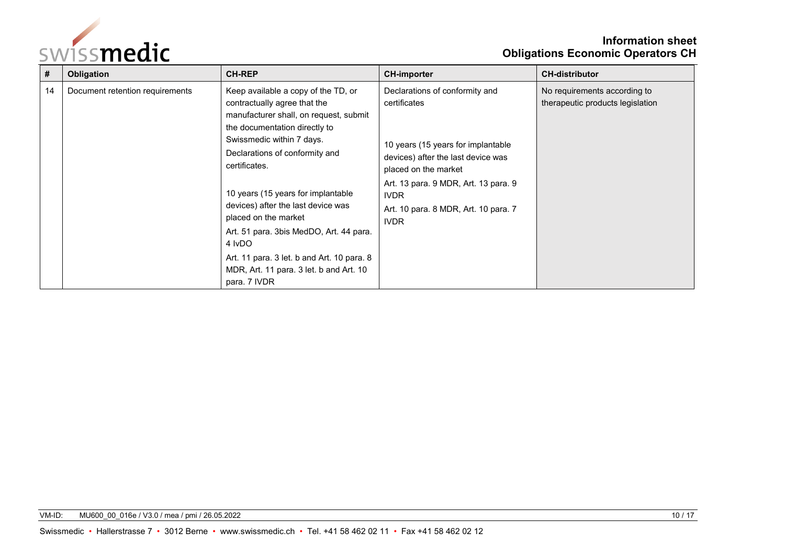

## **Information sheet Obligations Economic Operators CH**

| #  | Obligation                      | <b>CH-REP</b>                                                                                                                                                                                                                                                                                                                                                                                                                                                                                    | <b>CH-importer</b>                                                                                                                                                                                                                                               | <b>CH-distributor</b>                                            |
|----|---------------------------------|--------------------------------------------------------------------------------------------------------------------------------------------------------------------------------------------------------------------------------------------------------------------------------------------------------------------------------------------------------------------------------------------------------------------------------------------------------------------------------------------------|------------------------------------------------------------------------------------------------------------------------------------------------------------------------------------------------------------------------------------------------------------------|------------------------------------------------------------------|
| 14 | Document retention requirements | Keep available a copy of the TD, or<br>contractually agree that the<br>manufacturer shall, on request, submit<br>the documentation directly to<br>Swissmedic within 7 days.<br>Declarations of conformity and<br>certificates.<br>10 years (15 years for implantable<br>devices) after the last device was<br>placed on the market<br>Art. 51 para. 3bis MedDO, Art. 44 para.<br>4 IvDO<br>Art. 11 para. 3 let. b and Art. 10 para. 8<br>MDR, Art. 11 para. 3 let. b and Art. 10<br>para. 7 IVDR | Declarations of conformity and<br>certificates<br>10 years (15 years for implantable<br>devices) after the last device was<br>placed on the market<br>Art. 13 para. 9 MDR, Art. 13 para. 9<br><b>IVDR</b><br>Art. 10 para. 8 MDR, Art. 10 para. 7<br><b>IVDR</b> | No requirements according to<br>therapeutic products legislation |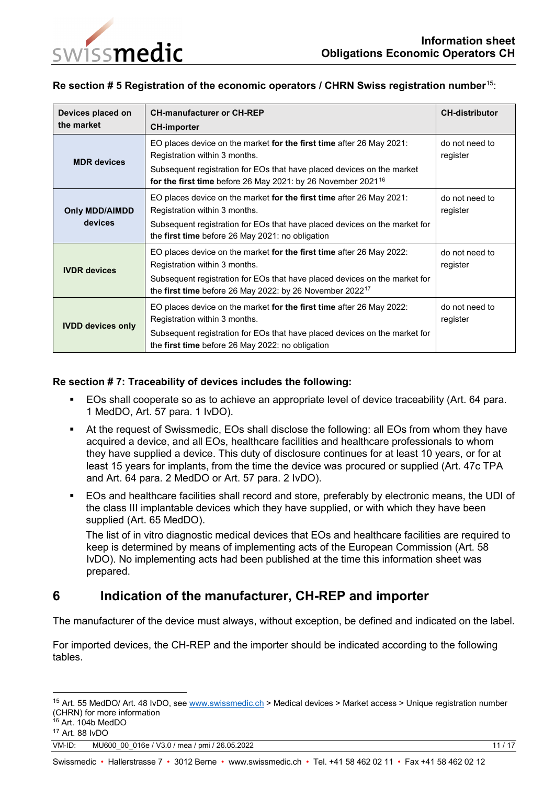

### **Re section # 5 Registration of the economic operators / CHRN Swiss registration number**[15](#page-10-1):

| Devices placed on<br>the market  | <b>CH-manufacturer or CH-REP</b><br><b>CH-importer</b>                                                                                                                                                                                                      | <b>CH-distributor</b>      |
|----------------------------------|-------------------------------------------------------------------------------------------------------------------------------------------------------------------------------------------------------------------------------------------------------------|----------------------------|
| <b>MDR</b> devices               | EO places device on the market for the first time after 26 May 2021:<br>Registration within 3 months.<br>Subsequent registration for EOs that have placed devices on the market<br>for the first time before 26 May 2021: by 26 November 2021 <sup>16</sup> | do not need to<br>register |
| <b>Only MDD/AIMDD</b><br>devices | EO places device on the market for the first time after 26 May 2021:<br>Registration within 3 months.<br>Subsequent registration for EOs that have placed devices on the market for<br>the first time before 26 May 2021: no obligation                     | do not need to<br>register |
| <b>IVDR</b> devices              | EO places device on the market for the first time after 26 May 2022:<br>Registration within 3 months.<br>Subsequent registration for EOs that have placed devices on the market for<br>the first time before 26 May 2022: by 26 November 2022 <sup>17</sup> | do not need to<br>register |
| <b>IVDD devices only</b>         | EO places device on the market for the first time after 26 May 2022:<br>Registration within 3 months.<br>Subsequent registration for EOs that have placed devices on the market for<br>the first time before 26 May 2022: no obligation                     | do not need to<br>register |

### **Re section # 7: Traceability of devices includes the following:**

- EOs shall cooperate so as to achieve an appropriate level of device traceability (Art. 64 para. 1 MedDO, Art. 57 para. 1 IvDO).
- At the request of Swissmedic, EOs shall disclose the following: all EOs from whom they have acquired a device, and all EOs, healthcare facilities and healthcare professionals to whom they have supplied a device. This duty of disclosure continues for at least 10 years, or for at least 15 years for implants, from the time the device was procured or supplied (Art. 47c TPA and Art. 64 para. 2 MedDO or Art. 57 para. 2 IvDO).
- EOs and healthcare facilities shall record and store, preferably by electronic means, the UDI of the class III implantable devices which they have supplied, or with which they have been supplied (Art. 65 MedDO).

The list of in vitro diagnostic medical devices that EOs and healthcare facilities are required to keep is determined by means of implementing acts of the European Commission (Art. 58 IvDO). No implementing acts had been published at the time this information sheet was prepared.

# <span id="page-10-0"></span>**6 Indication of the manufacturer, CH-REP and importer**

The manufacturer of the device must always, without exception, be defined and indicated on the label.

For imported devices, the CH-REP and the importer should be indicated according to the following tables.

<span id="page-10-1"></span><sup>&</sup>lt;sup>15</sup> Art. 55 MedDO/ Art. 48 IvDO, see [www.swissmedic.ch](http://www.swissmedic.ch/) > Medical devices > Market access > Unique registration number (CHRN) for more information

<span id="page-10-2"></span> $16$  Art. 104b MedDO

<span id="page-10-3"></span><sup>17</sup> Art. 88 IvDO

VM-ID: MU600 00 016e / V3.0 / mea / pmi / 26.05.2022 11 / 17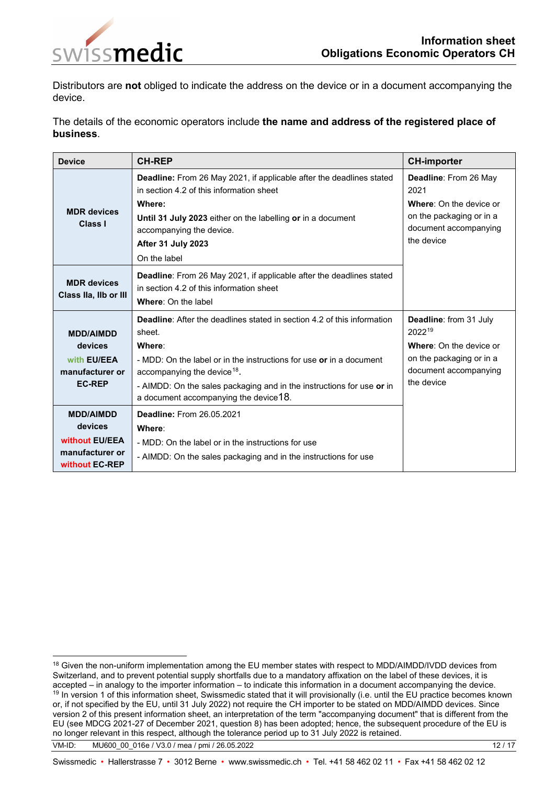

Distributors are **not** obliged to indicate the address on the device or in a document accompanying the device.

The details of the economic operators include **the name and address of the registered place of business**.

<span id="page-11-0"></span>

| <b>Device</b>                                                                      | <b>CH-REP</b>                                                                                                                                                                                                                                                                                                                           | <b>CH-importer</b>                                                                                                                    |  |
|------------------------------------------------------------------------------------|-----------------------------------------------------------------------------------------------------------------------------------------------------------------------------------------------------------------------------------------------------------------------------------------------------------------------------------------|---------------------------------------------------------------------------------------------------------------------------------------|--|
| <b>MDR</b> devices<br>Class I                                                      | Deadline: From 26 May 2021, if applicable after the deadlines stated<br>in section 4.2 of this information sheet<br>Where:<br>Until 31 July 2023 either on the labelling or in a document<br>accompanying the device.<br>After 31 July 2023<br>On the label                                                                             | Deadline: From 26 May<br>2021<br>Where: On the device or<br>on the packaging or in a<br>document accompanying<br>the device           |  |
| <b>MDR</b> devices<br>Class IIa, IIb or III                                        | <b>Deadline:</b> From 26 May 2021, if applicable after the deadlines stated<br>in section 4.2 of this information sheet<br>Where: On the label                                                                                                                                                                                          |                                                                                                                                       |  |
| <b>MDD/AIMDD</b><br>devices<br>with EU/EEA<br>manufacturer or<br><b>EC-REP</b>     | <b>Deadline:</b> After the deadlines stated in section 4.2 of this information<br>sheet.<br>Where:<br>- MDD: On the label or in the instructions for use or in a document<br>accompanying the device <sup>18</sup> .<br>- AIMDD: On the sales packaging and in the instructions for use or in<br>a document accompanying the device 18. | <b>Deadline:</b> from 31 July<br>202219<br>Where: On the device or<br>on the packaging or in a<br>document accompanying<br>the device |  |
| <b>MDD/AIMDD</b><br>devices<br>without EU/EEA<br>manufacturer or<br>without EC-REP | <b>Deadline: From 26.05.2021</b><br>Where:<br>- MDD: On the label or in the instructions for use<br>- AIMDD: On the sales packaging and in the instructions for use                                                                                                                                                                     |                                                                                                                                       |  |

VM-ID: MU600 00 016e / V3.0 / mea / pmi / 26.05.2022 12 / 17

<span id="page-11-2"></span><span id="page-11-1"></span><sup>18</sup> Given the non-uniform implementation among the EU member states with respect to MDD/AIMDD/IVDD devices from Switzerland, and to prevent potential supply shortfalls due to a mandatory affixation on the label of these devices, it is accepted – in analogy to the importer information – to indicate this information in a document acco <sup>19</sup> In version 1 of this information sheet, Swissmedic stated that it will provisionally (i.e. until the EU practice becomes known or, if not specified by the EU, until 31 July 2022) not require the CH importer to be stated on MDD/AIMDD devices. Since version 2 of this present information sheet, an interpretation of the term "accompanying document" that is different from the EU (see MDCG 2021-27 of December 2021, question 8) has been adopted; hence, the subsequent procedure of the EU is no longer relevant in this respect, although the tolerance period up to 31 July 2022 is retained.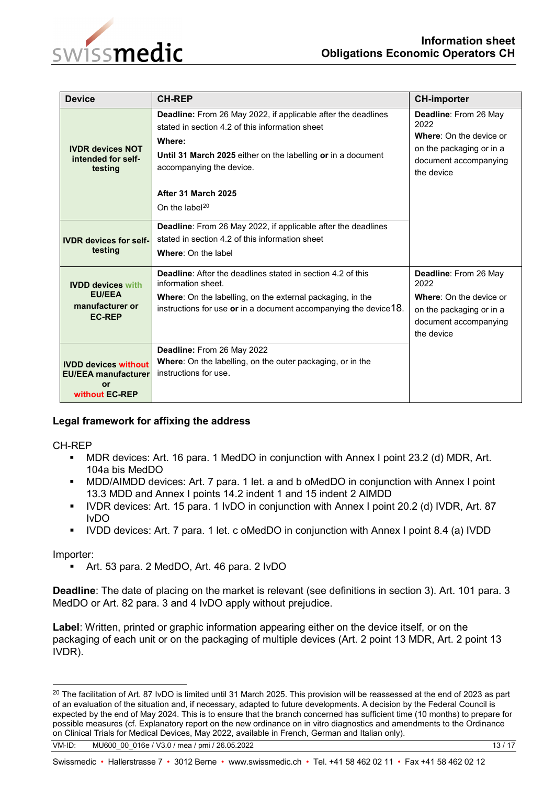



| <b>Device</b>                                                                     | <b>CH-REP</b>                                                                                                                                                                                                                                                                      | <b>CH-importer</b>                                                                                                                 |
|-----------------------------------------------------------------------------------|------------------------------------------------------------------------------------------------------------------------------------------------------------------------------------------------------------------------------------------------------------------------------------|------------------------------------------------------------------------------------------------------------------------------------|
| <b>IVDR devices NOT</b><br>intended for self-<br>testing                          | <b>Deadline:</b> From 26 May 2022, if applicable after the deadlines<br>stated in section 4.2 of this information sheet<br>Where:<br>Until 31 March 2025 either on the labelling or in a document<br>accompanying the device.<br>After 31 March 2025<br>On the label <sup>20</sup> | Deadline: From 26 May<br>2022<br><b>Where:</b> On the device or<br>on the packaging or in a<br>document accompanying<br>the device |
|                                                                                   | Deadline: From 26 May 2022, if applicable after the deadlines                                                                                                                                                                                                                      |                                                                                                                                    |
| <b>IVDR</b> devices for self-<br>testing                                          | stated in section 4.2 of this information sheet<br><b>Where: On the label</b>                                                                                                                                                                                                      |                                                                                                                                    |
| <b>IVDD devices with</b>                                                          | <b>Deadline:</b> After the deadlines stated in section 4.2 of this<br>information sheet.                                                                                                                                                                                           | Deadline: From 26 May<br>2022                                                                                                      |
| <b>EU/EEA</b><br>manufacturer or<br><b>EC-REP</b>                                 | <b>Where:</b> On the labelling, on the external packaging, in the<br>instructions for use or in a document accompanying the device 18.                                                                                                                                             | <b>Where:</b> On the device or<br>on the packaging or in a<br>document accompanying<br>the device                                  |
| <b>IVDD devices without</b><br><b>EU/EEA manufacturer</b><br>or<br>without EC-REP | Deadline: From 26 May 2022<br><b>Where:</b> On the labelling, on the outer packaging, or in the<br>instructions for use.                                                                                                                                                           |                                                                                                                                    |

### **Legal framework for affixing the address**

CH-REP

- MDR devices: Art. 16 para. 1 MedDO in conjunction with Annex I point 23.2 (d) MDR, Art. 104a bis MedDO
- MDD/AIMDD devices: Art. 7 para. 1 let. a and b oMedDO in conjunction with Annex I point 13.3 MDD and Annex I points 14.2 indent 1 and 15 indent 2 AIMDD
- IVDR devices: Art. 15 para. 1 IvDO in conjunction with Annex I point 20.2 (d) IVDR, Art. 87 IvDO
- IVDD devices: Art. 7 para. 1 let. c oMedDO in conjunction with Annex I point 8.4 (a) IVDD

Importer:

Art. 53 para. 2 MedDO, Art. 46 para. 2 IvDO

**Deadline**: The date of placing on the market is relevant (see definitions in section 3). Art. 101 para. 3 MedDO or Art. 82 para. 3 and 4 IvDO apply without prejudice.

**Label**: Written, printed or graphic information appearing either on the device itself, or on the packaging of each unit or on the packaging of multiple devices (Art. 2 point 13 MDR, Art. 2 point 13 IVDR).

<span id="page-12-0"></span><sup>&</sup>lt;sup>20</sup> The facilitation of Art. 87 IvDO is limited until 31 March 2025. This provision will be reassessed at the end of 2023 as part of an evaluation of the situation and, if necessary, adapted to future developments. A decision by the Federal Council is expected by the end of May 2024. This is to ensure that the branch concerned has sufficient time (10 months) to prepare for possible measures (cf. Explanatory report on the new ordinance on in vitro diagnostics and amendments to the Ordinance on Clinical Trials for Medical Devices, May 2022, available in French, German and Italian only).

VM-ID: MU600 00 016e / V3.0 / mea / pmi / 26.05.2022 13 / 17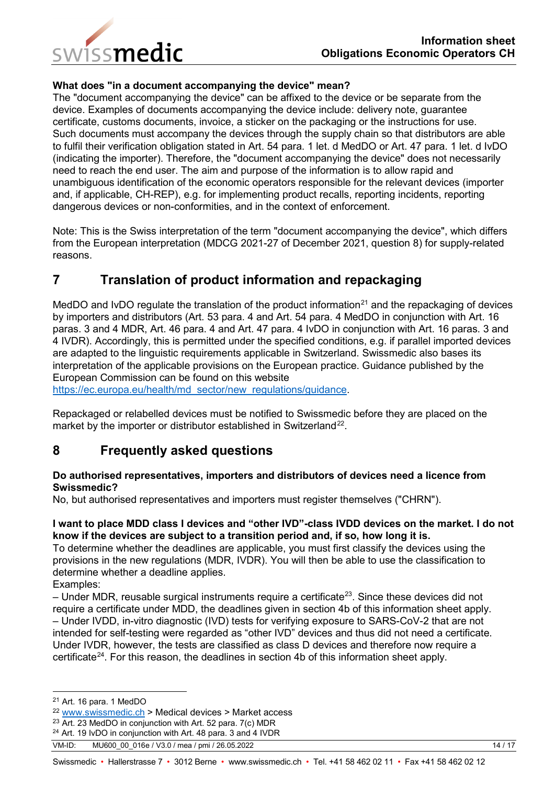

### **What does "in a document accompanying the device" mean?**

The "document accompanying the device" can be affixed to the device or be separate from the device. Examples of documents accompanying the device include: delivery note, guarantee certificate, customs documents, invoice, a sticker on the packaging or the instructions for use. Such documents must accompany the devices through the supply chain so that distributors are able to fulfil their verification obligation stated in Art. 54 para. 1 let. d MedDO or Art. 47 para. 1 let. d IvDO (indicating the importer). Therefore, the "document accompanying the device" does not necessarily need to reach the end user. The aim and purpose of the information is to allow rapid and unambiguous identification of the economic operators responsible for the relevant devices (importer and, if applicable, CH-REP), e.g. for implementing product recalls, reporting incidents, reporting dangerous devices or non-conformities, and in the context of enforcement.

Note: This is the Swiss interpretation of the term "document accompanying the device", which differs from the European interpretation (MDCG 2021-27 of December 2021, question 8) for supply-related reasons.

# <span id="page-13-0"></span>**7 Translation of product information and repackaging**

MedDO and IvDO regulate the translation of the product information<sup>[21](#page-13-2)</sup> and the repackaging of devices by importers and distributors (Art. 53 para. 4 and Art. 54 para. 4 MedDO in conjunction with Art. 16 paras. 3 and 4 MDR, Art. 46 para. 4 and Art. 47 para. 4 IvDO in conjunction with Art. 16 paras. 3 and 4 IVDR). Accordingly, this is permitted under the specified conditions, e.g. if parallel imported devices are adapted to the linguistic requirements applicable in Switzerland. Swissmedic also bases its interpretation of the applicable provisions on the European practice. Guidance published by the European Commission can be found on this website

[https://ec.europa.eu/health/md\\_sector/new\\_regulations/guidance.](https://ec.europa.eu/health/md_sector/new_regulations/guidance)

Repackaged or relabelled devices must be notified to Swissmedic before they are placed on the market by the importer or distributor established in Switzerland<sup>[22](#page-13-3)</sup>.

# <span id="page-13-1"></span>**8 Frequently asked questions**

#### **Do authorised representatives, importers and distributors of devices need a licence from Swissmedic?**

No, but authorised representatives and importers must register themselves ("CHRN").

### **I want to place MDD class I devices and "other IVD"-class IVDD devices on the market. I do not know if the devices are subject to a transition period and, if so, how long it is.**

To determine whether the deadlines are applicable, you must first classify the devices using the provisions in the new regulations (MDR, IVDR). You will then be able to use the classification to determine whether a deadline applies.

Examples:

 $-$  Under MDR, reusable surgical instruments require a certificate<sup>23</sup>. Since these devices did not require a certificate under MDD, the deadlines given in section 4b of this information sheet apply. – Under IVDD, in-vitro diagnostic (IVD) tests for verifying exposure to SARS-CoV-2 that are not intended for self-testing were regarded as "other IVD" devices and thus did not need a certificate. Under IVDR, however, the tests are classified as class D devices and therefore now require a certificate<sup>24</sup>. For this reason, the deadlines in section 4b of this information sheet apply.

<span id="page-13-2"></span> <sup>21</sup> Art. 16 para. 1 MedDO

<span id="page-13-3"></span><sup>22</sup> [www.swissmedic.ch](http://www.swissmedic.ch/) > Medical devices > Market access

<span id="page-13-4"></span><sup>23</sup> Art. 23 MedDO in conjunction with Art. 52 para. 7(c) MDR

<span id="page-13-5"></span><sup>&</sup>lt;sup>24</sup> Art. 19 IvDO in conjunction with Art. 48 para. 3 and 4 IVDR

VM-ID: MU600 00 016e / V3.0 / mea / pmi / 26.05.2022 14 / 17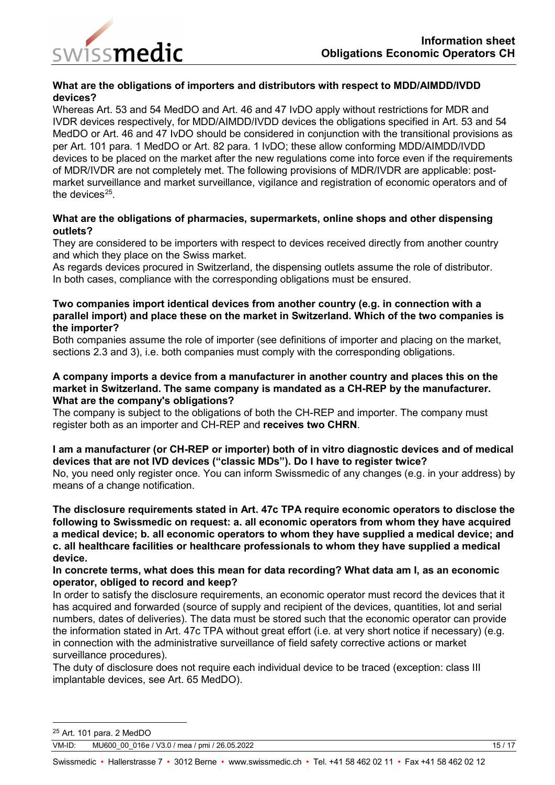

### **What are the obligations of importers and distributors with respect to MDD/AIMDD/IVDD devices?**

Whereas Art. 53 and 54 MedDO and Art. 46 and 47 IvDO apply without restrictions for MDR and IVDR devices respectively, for MDD/AIMDD/IVDD devices the obligations specified in Art. 53 and 54 MedDO or Art. 46 and 47 IvDO should be considered in conjunction with the transitional provisions as per Art. 101 para. 1 MedDO or Art. 82 para. 1 IvDO; these allow conforming MDD/AIMDD/IVDD devices to be placed on the market after the new regulations come into force even if the requirements of MDR/IVDR are not completely met. The following provisions of MDR/IVDR are applicable: postmarket surveillance and market surveillance, vigilance and registration of economic operators and of the devices $25$ .

### **What are the obligations of pharmacies, supermarkets, online shops and other dispensing outlets?**

They are considered to be importers with respect to devices received directly from another country and which they place on the Swiss market.

As regards devices procured in Switzerland, the dispensing outlets assume the role of distributor. In both cases, compliance with the corresponding obligations must be ensured.

#### **Two companies import identical devices from another country (e.g. in connection with a parallel import) and place these on the market in Switzerland. Which of the two companies is the importer?**

Both companies assume the role of importer (see definitions of importer and placing on the market, sections 2.3 and 3), i.e. both companies must comply with the corresponding obligations.

#### **A company imports a device from a manufacturer in another country and places this on the market in Switzerland. The same company is mandated as a CH-REP by the manufacturer. What are the company's obligations?**

The company is subject to the obligations of both the CH-REP and importer. The company must register both as an importer and CH-REP and **receives two CHRN**.

### **I am a manufacturer (or CH-REP or importer) both of in vitro diagnostic devices and of medical devices that are not IVD devices ("classic MDs"). Do I have to register twice?**

No, you need only register once. You can inform Swissmedic of any changes (e.g. in your address) by means of a change notification.

**The disclosure requirements stated in Art. 47c TPA require economic operators to disclose the following to Swissmedic on request: a. all economic operators from whom they have acquired a medical device; b. all economic operators to whom they have supplied a medical device; and c. all healthcare facilities or healthcare professionals to whom they have supplied a medical device.** 

### **In concrete terms, what does this mean for data recording? What data am I, as an economic operator, obliged to record and keep?**

In order to satisfy the disclosure requirements, an economic operator must record the devices that it has acquired and forwarded (source of supply and recipient of the devices, quantities, lot and serial numbers, dates of deliveries). The data must be stored such that the economic operator can provide the information stated in Art. 47c TPA without great effort (i.e. at very short notice if necessary) (e.g. in connection with the administrative surveillance of field safety corrective actions or market surveillance procedures).

The duty of disclosure does not require each individual device to be traced (exception: class III implantable devices, see Art. 65 MedDO).

<span id="page-14-0"></span> <sup>25</sup> Art. 101 para. 2 MedDO

VM-ID: MU600 00 016e / V3.0 / mea / pmi / 26.05.2022 15 / 17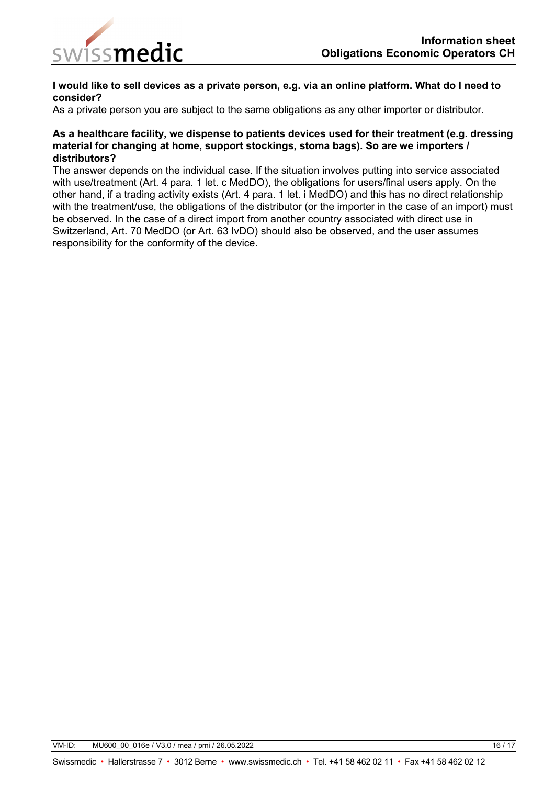

#### **I would like to sell devices as a private person, e.g. via an online platform. What do I need to consider?**

As a private person you are subject to the same obligations as any other importer or distributor.

#### **As a healthcare facility, we dispense to patients devices used for their treatment (e.g. dressing material for changing at home, support stockings, stoma bags). So are we importers / distributors?**

The answer depends on the individual case. If the situation involves putting into service associated with use/treatment (Art. 4 para. 1 let. c MedDO), the obligations for users/final users apply. On the other hand, if a trading activity exists (Art. 4 para. 1 let. i MedDO) and this has no direct relationship with the treatment/use, the obligations of the distributor (or the importer in the case of an import) must be observed. In the case of a direct import from another country associated with direct use in Switzerland, Art. 70 MedDO (or Art. 63 IvDO) should also be observed, and the user assumes responsibility for the conformity of the device.